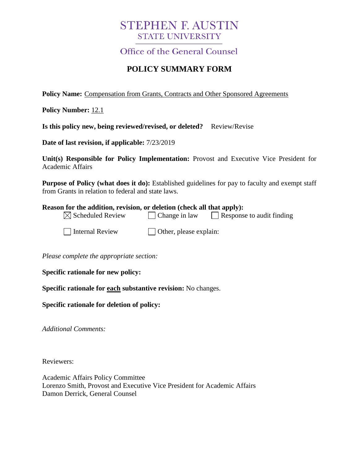# **STEPHEN F. AUSTIN STATE UNIVERSITY**

**Office of the General Counsel** 

## **POLICY SUMMARY FORM**

**Policy Name:** Compensation from Grants, Contracts and Other Sponsored Agreements

**Policy Number:** 12.1

**Is this policy new, being reviewed/revised, or deleted?** Review/Revise

**Date of last revision, if applicable:** 7/23/2019

**Unit(s) Responsible for Policy Implementation:** Provost and Executive Vice President for Academic Affairs

**Purpose of Policy (what does it do):** Established guidelines for pay to faculty and exempt staff from Grants in relation to federal and state laws.

#### **Reason for the addition, revision, or deletion (check all that apply):**

| $\boxtimes$ Scheduled Review |  | $\Box$ Change in law | $\Box$ Response to audit finding |  |
|------------------------------|--|----------------------|----------------------------------|--|
|                              |  |                      |                                  |  |

 $\Box$  Internal Review  $\Box$  Other, please explain:

*Please complete the appropriate section:*

**Specific rationale for new policy:**

**Specific rationale for each substantive revision:** No changes.

**Specific rationale for deletion of policy:**

*Additional Comments:*

Reviewers:

Academic Affairs Policy Committee Lorenzo Smith, Provost and Executive Vice President for Academic Affairs Damon Derrick, General Counsel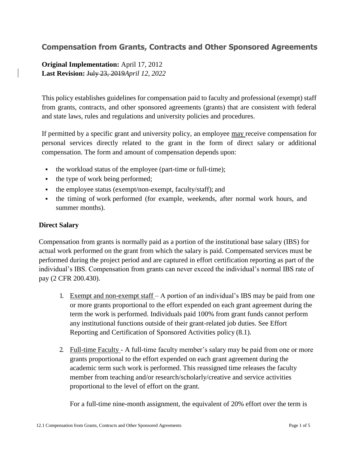## **Compensation from Grants, Contracts and Other Sponsored Agreements**

## **Original Implementation:** April 17, 2012 **Last Revision:** July 23, 2019*April 12, 2022*

This policy establishes guidelines for compensation paid to faculty and professional (exempt) staff from grants, contracts, and other sponsored agreements (grants) that are consistent with federal and state laws, rules and regulations and university policies and procedures.

If permitted by a specific grant and university policy, an employee may receive compensation for personal services directly related to the grant in the form of direct salary or additional compensation. The form and amount of compensation depends upon:

- the workload status of the employee (part-time or full-time);
- the type of work being performed;
- the employee status (exempt/non-exempt, faculty/staff); and
- the timing of work performed (for example, weekends, after normal work hours, and summer months).

#### **Direct Salary**

Compensation from grants is normally paid as a portion of the institutional base salary (IBS) for actual work performed on the grant from which the salary is paid. Compensated services must be performed during the project period and are captured in effort certification reporting as part of the individual's IBS. Compensation from grants can never exceed the individual's normal IBS rate of pay (2 CFR 200.430).

- 1. Exempt and non-exempt staff A portion of an individual's IBS may be paid from one or more grants proportional to the effort expended on each grant agreement during the term the work is performed. Individuals paid 100% from grant funds cannot perform any institutional functions outside of their grant-related job duties. See Effort Reporting and Certification of Sponsored Activities policy (8.1).
- 2. Full-time Faculty A full-time faculty member's salary may be paid from one or more grants proportional to the effort expended on each grant agreement during the academic term such work is performed. This reassigned time releases the faculty member from teaching and/or research/scholarly/creative and service activities proportional to the level of effort on the grant.

For a full-time nine-month assignment, the equivalent of 20% effort over the term is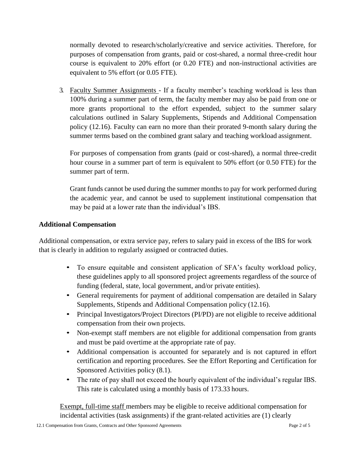normally devoted to research/scholarly/creative and service activities. Therefore, for purposes of compensation from grants, paid or cost-shared, a normal three-credit hour course is equivalent to 20% effort (or 0.20 FTE) and non-instructional activities are equivalent to 5% effort (or 0.05 FTE).

3. Faculty Summer Assignments - If a faculty member's teaching workload is less than 100% during a summer part of term, the faculty member may also be paid from one or more grants proportional to the effort expended, subject to the summer salary calculations outlined in Salary Supplements, Stipends and Additional Compensation policy (12.16). Faculty can earn no more than their prorated 9-month salary during the summer terms based on the combined grant salary and teaching workload assignment.

For purposes of compensation from grants (paid or cost-shared), a normal three-credit hour course in a summer part of term is equivalent to 50% effort (or 0.50 FTE) for the summer part of term.

Grant funds cannot be used during the summer months to pay for work performed during the academic year, and cannot be used to supplement institutional compensation that may be paid at a lower rate than the individual's IBS.

### **Additional Compensation**

Additional compensation, or extra service pay, refers to salary paid in excess of the IBS for work that is clearly in addition to regularly assigned or contracted duties.

- To ensure equitable and consistent application of SFA's faculty workload policy, these guidelines apply to all sponsored project agreements regardless of the source of funding (federal, state, local government, and/or private entities).
- General requirements for payment of additional compensation are detailed in Salary Supplements, Stipends and Additional Compensation policy (12.16).
- Principal Investigators/Project Directors (PI/PD) are not eligible to receive additional compensation from their own projects.
- Non-exempt staff members are not eligible for additional compensation from grants and must be paid overtime at the appropriate rate of pay.
- Additional compensation is accounted for separately and is not captured in effort certification and reporting procedures. See the Effort Reporting and Certification for Sponsored Activities policy (8.1).
- The rate of pay shall not exceed the hourly equivalent of the individual's regular IBS. This rate is calculated using a monthly basis of 173.33 hours.

Exempt, full-time staff members may be eligible to receive additional compensation for incidental activities (task assignments) if the grant-related activities are (1) clearly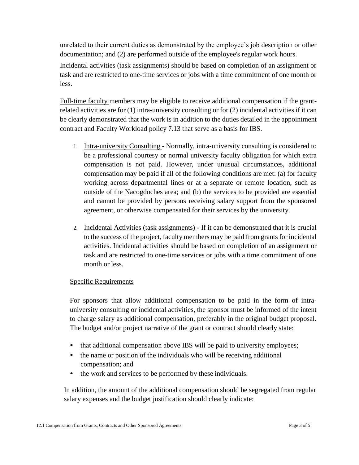unrelated to their current duties as demonstrated by the employee's job description or other documentation; and (2) are performed outside of the employee's regular work hours.

Incidental activities (task assignments) should be based on completion of an assignment or task and are restricted to one-time services or jobs with a time commitment of one month or less.

Full-time faculty members may be eligible to receive additional compensation if the grantrelated activities are for (1) intra-university consulting or for (2) incidental activities if it can be clearly demonstrated that the work is in addition to the duties detailed in the appointment contract and Faculty Workload policy 7.13 that serve as a basis for IBS.

- 1. Intra-university Consulting Normally, intra-university consulting is considered to be a professional courtesy or normal university faculty obligation for which extra compensation is not paid. However, under unusual circumstances, additional compensation may be paid if all of the following conditions are met: (a) for faculty working across departmental lines or at a separate or remote location, such as outside of the Nacogdoches area; and (b) the services to be provided are essential and cannot be provided by persons receiving salary support from the sponsored agreement, or otherwise compensated for their services by the university.
- 2. Incidental Activities (task assignments) If it can be demonstrated that it is crucial to the success of the project, faculty members may be paid from grants for incidental activities. Incidental activities should be based on completion of an assignment or task and are restricted to one-time services or jobs with a time commitment of one month or less.

### Specific Requirements

For sponsors that allow additional compensation to be paid in the form of intrauniversity consulting or incidental activities, the sponsor must be informed of the intent to charge salary as additional compensation, preferably in the original budget proposal. The budget and/or project narrative of the grant or contract should clearly state:

- that additional compensation above IBS will be paid to university employees;
- the name or position of the individuals who will be receiving additional compensation; and
- the work and services to be performed by these individuals.

In addition, the amount of the additional compensation should be segregated from regular salary expenses and the budget justification should clearly indicate: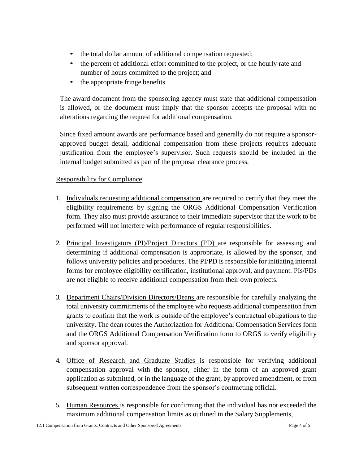- the total dollar amount of additional compensation requested;
- the percent of additional effort committed to the project, or the hourly rate and number of hours committed to the project; and
- the appropriate fringe benefits.

The award document from the sponsoring agency must state that additional compensation is allowed, or the document must imply that the sponsor accepts the proposal with no alterations regarding the request for additional compensation.

Since fixed amount awards are performance based and generally do not require a sponsorapproved budget detail, additional compensation from these projects requires adequate justification from the employee's supervisor. Such requests should be included in the internal budget submitted as part of the proposal clearance process.

## Responsibility for Compliance

- 1. Individuals requesting additional compensation are required to certify that they meet the eligibility requirements by signing the ORGS Additional Compensation Verification form. They also must provide assurance to their immediate supervisor that the work to be performed will not interfere with performance of regular responsibilities.
- 2. Principal Investigators (PI)/Project Directors (PD) are responsible for assessing and determining if additional compensation is appropriate, is allowed by the sponsor, and follows university policies and procedures. The PI/PD is responsible for initiating internal forms for employee eligibility certification, institutional approval, and payment. PIs/PDs are not eligible to receive additional compensation from their own projects.
- 3. Department Chairs/Division Directors/Deans are responsible for carefully analyzing the total university commitments of the employee who requests additional compensation from grants to confirm that the work is outside of the employee's contractual obligations to the university. The dean routes the Authorization for Additional Compensation Services form and the ORGS Additional Compensation Verification form to ORGS to verify eligibility and sponsor approval.
- 4. Office of Research and Graduate Studies is responsible for verifying additional compensation approval with the sponsor, either in the form of an approved grant application as submitted, or in the language of the grant, by approved amendment, or from subsequent written correspondence from the sponsor's contracting official.
- 5. Human Resources is responsible for confirming that the individual has not exceeded the maximum additional compensation limits as outlined in the Salary Supplements,